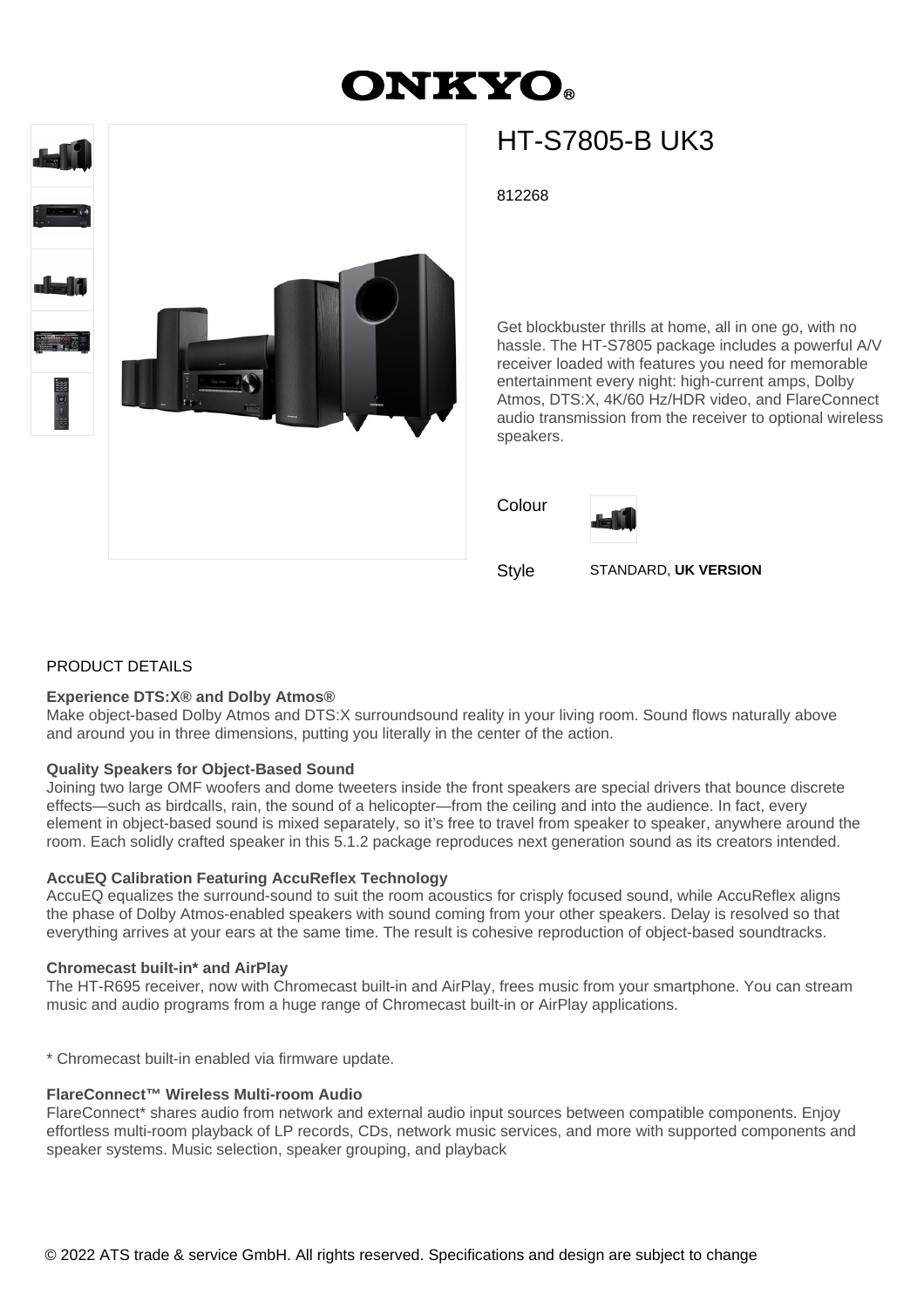# **ONKYO**



## HT-S7805-B UK3

812268

Get blockbuster thrills at home, all in one go, with no hassle. The HT-S7805 package includes a powerful A/V receiver loaded with features you need for memorable entertainment every night: high-current amps, Dolby Atmos, DTS:X, 4K/60 Hz/HDR video, and FlareConnect audio transmission from the receiver to optional wireless speakers.

Colour



Style STANDARD, **UK VERSION**

### PRODUCT DETAILS

#### **Experience DTS:X® and Dolby Atmos®**

Make object-based Dolby Atmos and DTS:X surroundsound reality in your living room. Sound flows naturally above and around you in three dimensions, putting you literally in the center of the action.

#### **Quality Speakers for Object-Based Sound**

Joining two large OMF woofers and dome tweeters inside the front speakers are special drivers that bounce discrete effects—such as birdcalls, rain, the sound of a helicopter—from the ceiling and into the audience. In fact, every element in object-based sound is mixed separately, so it's free to travel from speaker to speaker, anywhere around the room. Each solidly crafted speaker in this 5.1.2 package reproduces next generation sound as its creators intended.

#### **AccuEQ Calibration Featuring AccuReflex Technology**

AccuEQ equalizes the surround-sound to suit the room acoustics for crisply focused sound, while AccuReflex aligns the phase of Dolby Atmos-enabled speakers with sound coming from your other speakers. Delay is resolved so that everything arrives at your ears at the same time. The result is cohesive reproduction of object-based soundtracks.

#### **Chromecast built-in\* and AirPlay**

The HT-R695 receiver, now with Chromecast built-in and AirPlay, frees music from your smartphone. You can stream music and audio programs from a huge range of Chromecast built-in or AirPlay applications.

\* Chromecast built-in enabled via firmware update.

#### **FlareConnect™ Wireless Multi-room Audio**

FlareConnect\* shares audio from network and external audio input sources between compatible components. Enjoy effortless multi-room playback of LP records, CDs, network music services, and more with supported components and speaker systems. Music selection, speaker grouping, and playback